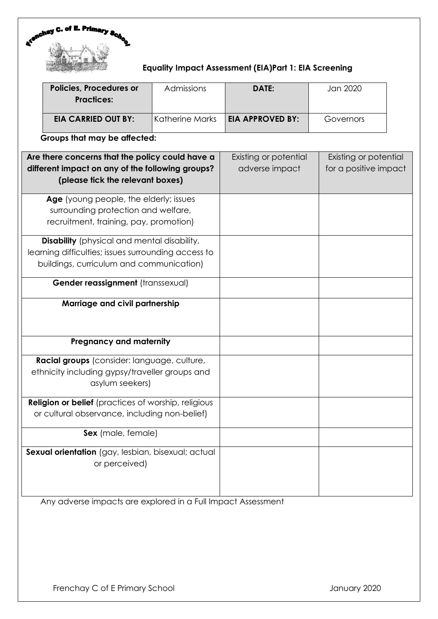

## **Equality Impact Assessment (EIA)Part 1: EIA Screening**

| <b>Policies, Procedures or</b><br><b>Practices:</b> | Admissions        | DATE:                   | Jan 2020  |
|-----------------------------------------------------|-------------------|-------------------------|-----------|
| <b>EIA CARRIED OUT BY:</b><br>. .<br>. .            | l Katherine Marks | <b>EIA APPROVED BY:</b> | Governors |

**Groups that may be affected:**

| Are there concerns that the policy could have a<br>different impact on any of the following groups?<br>(please tick the relevant boxes)               | Existing or potential<br>adverse impact | Existing or potential<br>for a positive impact |
|-------------------------------------------------------------------------------------------------------------------------------------------------------|-----------------------------------------|------------------------------------------------|
| Age (young people, the elderly; issues<br>surrounding protection and welfare,<br>recruitment, training, pay, promotion)                               |                                         |                                                |
| <b>Disability</b> (physical and mental disability,<br>learning difficulties; issues surrounding access to<br>buildings, curriculum and communication) |                                         |                                                |
| Gender reassignment (transsexual)                                                                                                                     |                                         |                                                |
| Marriage and civil partnership                                                                                                                        |                                         |                                                |
| <b>Pregnancy and maternity</b>                                                                                                                        |                                         |                                                |
| Racial groups (consider: language, culture,<br>ethnicity including gypsy/traveller groups and<br>asylum seekers)                                      |                                         |                                                |
| <b>Religion or belief</b> (practices of worship, religious<br>or cultural observance, including non-belief)                                           |                                         |                                                |
| Sex (male, female)                                                                                                                                    |                                         |                                                |
| Sexual orientation (gay, lesbian, bisexual; actual<br>or perceived)                                                                                   |                                         |                                                |

Any adverse impacts are explored in a Full Impact Assessment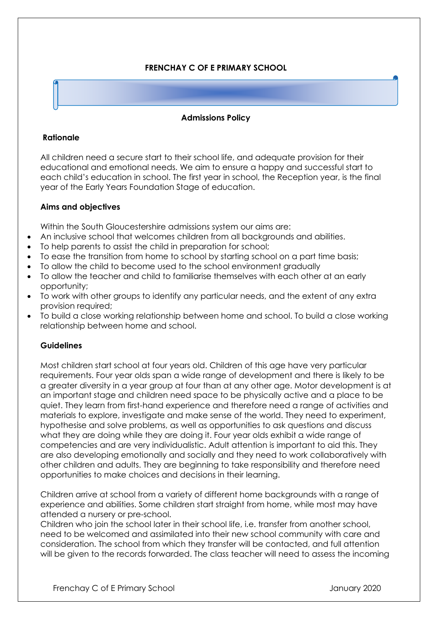# **FRENCHAY C OF E PRIMARY SCHOOL**

### **Admissions Policy**

#### **Rationale**

All children need a secure start to their school life, and adequate provision for their educational and emotional needs. We aim to ensure a happy and successful start to each child's education in school. The first year in school, the Reception year, is the final year of the Early Years Foundation Stage of education.

### **Aims and objectives**

Within the South Gloucestershire admissions system our aims are:

- An inclusive school that welcomes children from all backgrounds and abilities.
- To help parents to assist the child in preparation for school;
- To ease the transition from home to school by starting school on a part time basis;
- To allow the child to become used to the school environment gradually
- To allow the teacher and child to familiarise themselves with each other at an early opportunity;
- To work with other groups to identify any particular needs, and the extent of any extra provision required;
- To build a close working relationship between home and school. To build a close working relationship between home and school.

### **Guidelines**

Most children start school at four years old. Children of this age have very particular requirements. Four year olds span a wide range of development and there is likely to be a greater diversity in a year group at four than at any other age. Motor development is at an important stage and children need space to be physically active and a place to be quiet. They learn from first-hand experience and therefore need a range of activities and materials to explore, investigate and make sense of the world. They need to experiment, hypothesise and solve problems, as well as opportunities to ask questions and discuss what they are doing while they are doing it. Four year olds exhibit a wide range of competencies and are very individualistic. Adult attention is important to aid this. They are also developing emotionally and socially and they need to work collaboratively with other children and adults. They are beginning to take responsibility and therefore need opportunities to make choices and decisions in their learning.

Children arrive at school from a variety of different home backgrounds with a range of experience and abilities. Some children start straight from home, while most may have attended a nursery or pre-school.

Children who join the school later in their school life, i.e. transfer from another school, need to be welcomed and assimilated into their new school community with care and consideration. The school from which they transfer will be contacted, and full attention will be given to the records forwarded. The class teacher will need to assess the incoming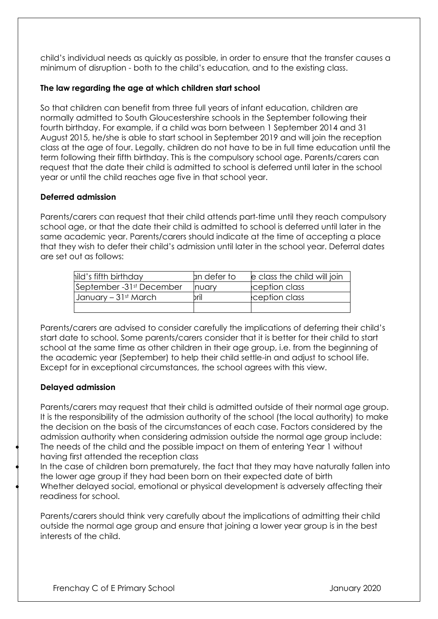child's individual needs as quickly as possible, in order to ensure that the transfer causes a minimum of disruption - both to the child's education, and to the existing class.

# **The law regarding the age at which children start school**

So that children can benefit from three full years of infant education, children are normally admitted to South Gloucestershire schools in the September following their fourth birthday. For example, if a child was born between 1 September 2014 and 31 August 2015, he/she is able to start school in September 2019 and will join the reception class at the age of four. Legally, children do not have to be in full time education until the term following their fifth birthday. This is the compulsory school age. Parents/carers can request that the date their child is admitted to school is deferred until later in the school year or until the child reaches age five in that school year.

## **Deferred admission**

Parents/carers can request that their child attends part-time until they reach compulsory school age, or that the date their child is admitted to school is deferred until later in the same academic year. Parents/carers should indicate at the time of accepting a place that they wish to defer their child's admission until later in the school year. Deferral dates are set out as follows:

| hild's fifth birthday    | an defer to | le class the child will join |
|--------------------------|-------------|------------------------------|
| September -31st December | Inuarv      | ception class                |
| January – 31st March     | bril        | ception class                |
|                          |             |                              |

Parents/carers are advised to consider carefully the implications of deferring their child's start date to school. Some parents/carers consider that it is better for their child to start school at the same time as other children in their age group, i.e. from the beginning of the academic year (September) to help their child settle-in and adjust to school life. Except for in exceptional circumstances, the school agrees with this view.

## **Delayed admission**

Parents/carers may request that their child is admitted outside of their normal age group. It is the responsibility of the admission authority of the school (the local authority) to make the decision on the basis of the circumstances of each case. Factors considered by the admission authority when considering admission outside the normal age group include: The needs of the child and the possible impact on them of entering Year 1 without having first attended the reception class

• In the case of children born prematurely, the fact that they may have naturally fallen into the lower age group if they had been born on their expected date of birth • Whether delayed social, emotional or physical development is adversely affecting their readiness for school.

Parents/carers should think very carefully about the implications of admitting their child outside the normal age group and ensure that joining a lower year group is in the best interests of the child.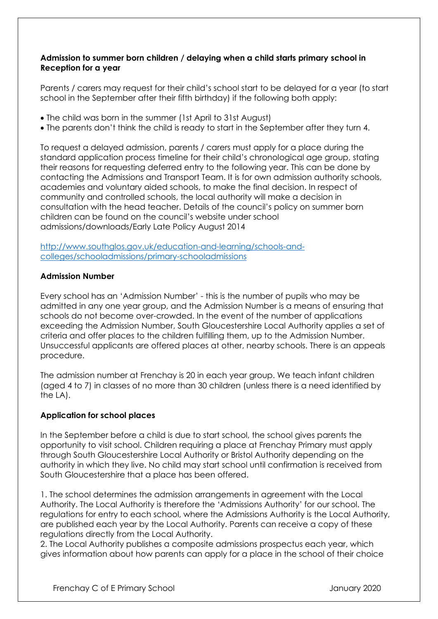### **Admission to summer born children / delaying when a child starts primary school in Reception for a year**

Parents / carers may request for their child's school start to be delayed for a year (to start school in the September after their fifth birthday) if the following both apply:

- The child was born in the summer (1st April to 31st August)
- The parents don't think the child is ready to start in the September after they turn 4.

To request a delayed admission, parents / carers must apply for a place during the standard application process timeline for their child's chronological age group, stating their reasons for requesting deferred entry to the following year. This can be done by contacting the Admissions and Transport Team. It is for own admission authority schools, academies and voluntary aided schools, to make the final decision. In respect of community and controlled schools, the local authority will make a decision in consultation with the head teacher. Details of the council's policy on summer born children can be found on the council's website under school admissions/downloads/Early Late Policy August 2014

[http://www.southglos.gov.uk/education-and-learning/schools-and](http://www.southglos.gov.uk/education-and-learning/schools-and-colleges/schooladmissions/primary-schooladmissions)[colleges/schooladmissions/primary-schooladmissions](http://www.southglos.gov.uk/education-and-learning/schools-and-colleges/schooladmissions/primary-schooladmissions)

### **Admission Number**

Every school has an 'Admission Number' - this is the number of pupils who may be admitted in any one year group, and the Admission Number is a means of ensuring that schools do not become over-crowded. In the event of the number of applications exceeding the Admission Number, South Gloucestershire Local Authority applies a set of criteria and offer places to the children fulfilling them, up to the Admission Number. Unsuccessful applicants are offered places at other, nearby schools. There is an appeals procedure.

The admission number at Frenchay is 20 in each year group. We teach infant children (aged 4 to 7) in classes of no more than 30 children (unless there is a need identified by the LA).

### **Application for school places**

In the September before a child is due to start school, the school gives parents the opportunity to visit school. Children requiring a place at Frenchay Primary must apply through South Gloucestershire Local Authority or Bristol Authority depending on the authority in which they live. No child may start school until confirmation is received from South Gloucestershire that a place has been offered.

1. The school determines the admission arrangements in agreement with the Local Authority. The Local Authority is therefore the 'Admissions Authority' for our school. The regulations for entry to each school, where the Admissions Authority is the Local Authority, are published each year by the Local Authority. Parents can receive a copy of these regulations directly from the Local Authority.

2. The Local Authority publishes a composite admissions prospectus each year, which gives information about how parents can apply for a place in the school of their choice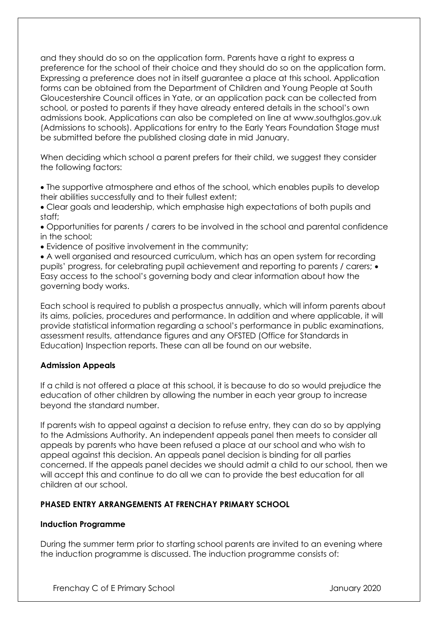and they should do so on the application form. Parents have a right to express a preference for the school of their choice and they should do so on the application form. Expressing a preference does not in itself guarantee a place at this school. Application forms can be obtained from the Department of Children and Young People at South Gloucestershire Council offices in Yate, or an application pack can be collected from school, or posted to parents if they have already entered details in the school's own admissions book. Applications can also be completed on line at www.southglos.gov.uk (Admissions to schools). Applications for entry to the Early Years Foundation Stage must be submitted before the published closing date in mid January.

When deciding which school a parent prefers for their child, we suggest they consider the following factors:

- The supportive atmosphere and ethos of the school, which enables pupils to develop their abilities successfully and to their fullest extent;
- Clear goals and leadership, which emphasise high expectations of both pupils and staff;
- Opportunities for parents / carers to be involved in the school and parental confidence in the school;
- Evidence of positive involvement in the community;
- A well organised and resourced curriculum, which has an open system for recording pupils' progress, for celebrating pupil achievement and reporting to parents / carers; • Easy access to the school's governing body and clear information about how the governing body works.

Each school is required to publish a prospectus annually, which will inform parents about its aims, policies, procedures and performance. In addition and where applicable, it will provide statistical information regarding a school's performance in public examinations, assessment results, attendance figures and any OFSTED (Office for Standards in Education) Inspection reports. These can all be found on our website.

### **Admission Appeals**

If a child is not offered a place at this school, it is because to do so would prejudice the education of other children by allowing the number in each year group to increase beyond the standard number.

If parents wish to appeal against a decision to refuse entry, they can do so by applying to the Admissions Authority. An independent appeals panel then meets to consider all appeals by parents who have been refused a place at our school and who wish to appeal against this decision. An appeals panel decision is binding for all parties concerned. If the appeals panel decides we should admit a child to our school, then we will accept this and continue to do all we can to provide the best education for all children at our school.

### **PHASED ENTRY ARRANGEMENTS AT FRENCHAY PRIMARY SCHOOL**

### **Induction Programme**

During the summer term prior to starting school parents are invited to an evening where the induction programme is discussed. The induction programme consists of: